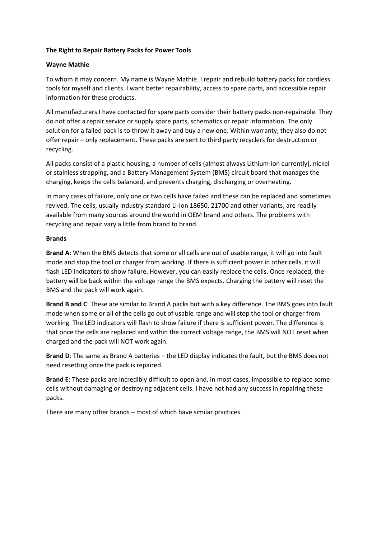## **The Right to Repair Battery Packs for Power Tools**

# **Wayne Mathie**

To whom it may concern. My name is Wayne Mathie. I repair and rebuild battery packs for cordless tools for myself and clients. I want better repairability, access to spare parts, and accessible repair information for these products.

All manufacturers I have contacted for spare parts consider their battery packs non-repairable. They do not offer a repair service or supply spare parts, schematics or repair information. The only solution for a failed pack is to throw it away and buy a new one. Within warranty, they also do not offer repair – only replacement. These packs are sent to third party recyclers for destruction or recycling.

All packs consist of a plastic housing, a number of cells (almost always Lithium-ion currently), nickel or stainless strapping, and a Battery Management System (BMS) circuit board that manages the charging, keeps the cells balanced, and prevents charging, discharging or overheating.

In many cases of failure, only one or two cells have failed and these can be replaced and sometimes revived. The cells, usually industry standard Li-Ion 18650, 21700 and other variants, are readily available from many sources around the world in OEM brand and others. The problems with recycling and repair vary a little from brand to brand.

# **Brands**

**Brand A**: When the BMS detects that some or all cells are out of usable range, it will go into fault mode and stop the tool or charger from working. If there is sufficient power in other cells, it will flash LED indicators to show failure. However, you can easily replace the cells. Once replaced, the battery will be back within the voltage range the BMS expects. Charging the battery will reset the BMS and the pack will work again.

**Brand B and C**: These are similar to Brand A packs but with a key difference. The BMS goes into fault mode when some or all of the cells go out of usable range and will stop the tool or charger from working. The LED indicators will flash to show failure if there is sufficient power. The difference is that once the cells are replaced and within the correct voltage range, the BMS will NOT reset when charged and the pack will NOT work again.

**Brand D**: The same as Brand A batteries – the LED display indicates the fault, but the BMS does not need resetting once the pack is repaired.

**Brand E**: These packs are incredibly difficult to open and, in most cases, impossible to replace some cells without damaging or destroying adjacent cells. I have not had any success in repairing these packs.

There are many other brands – most of which have similar practices.